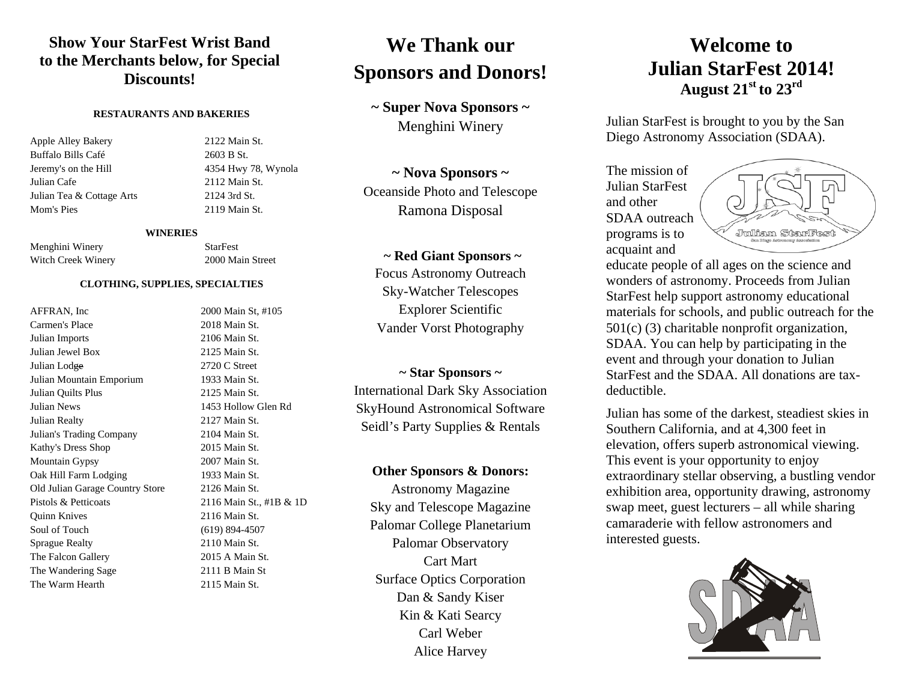### **Show Your StarFest Wrist Band to the Merchants below, for Special Discounts!**

#### **RESTAURANTS AND BAKERIES**

Apple Alley Bakery 2122 Main St. Buffalo Bills Café 2603 B St. Jeremy's on the Hill 4354 Hwy 78, Wynola Julian Cafe 2112 Main St. Julian Tea & Cottage Arts 2124 3rd St. Mom's Pies 2119 Main St.

#### **WINERIES**

Menghini Winery StarFest Witch Creek Winery 2000 Main Street

#### **CLOTHING, SUPPLIES, SPECIALTIES**

AFFRAN, Inc 2000 Main St, #105 Carmen's Place 2018 Main St. Julian Imports 2106 Main St. Julian Jewel Box 2125 Main St. Julian Lod<del>ge</del> 2720 C Street Julian Mountain Emporium 1933 Main St. Julian Quilts Plus 2125 Main St. Julian News 1453 Hollow Glen Rd Julian Realty 2127 Main St. Julian's Trading Company 2104 Main St. Kathy's Dress Shop 2015 Main St. Mountain Gypsy 2007 Main St. Oak Hill Farm Lodging 1933 Main St. Old Julian Garage Country Store 2126 Main St. Pistols & Petticoats 2116 Main St., #1B & 1D Quinn Knives 2116 Main St. Soul of Touch (619) 894-4507 Sprague Realty 2110 Main St. The Falcon Gallery 2015 A Main St. The Wandering Sage 2111 B Main St The Warm Hearth 2115 Main St.

# **We Thank our Sponsors and Donors!**

**~ Super Nova Sponsors ~** Menghini Winery

**~ Nova Sponsors ~** Oceanside Photo and Telescope Ramona Disposal

### **~ Red Giant Sponsors ~**

Focus Astronomy Outreach Sky-Watcher Telescopes Explorer Scientific Vander Vorst Photography

### **~ Star Sponsors ~**

International Dark Sky Association SkyHound Astronomical Software Seidl's Party Supplies & Rentals

### **Other Sponsors & Donors:**

Astronomy Magazine Sky and Telescope Magazine Palomar College Planetarium Palomar Observatory Cart Mart Surface Optics Corporation Dan & Sandy Kiser Kin & Kati Searcy Carl Weber Alice Harvey

### **Welcome to Julian StarFest 2014! August 21st to 23rd**

Julian StarFest is brought to you by the San Diego Astronomy Association (SDAA).

The mission of Julian StarFest and other SDAA outreach programs is to acquaint and



educate people of all ages on the science and wonders of astronomy. Proceeds from Julian StarFest help support astronomy educational materials for schools, and public outreach for the 501(c) (3) charitable nonprofit organization, SDAA. You can help by participating in the event and through your donation to Julian StarFest and the SDAA. All donations are taxdeductible.

Julian has some of the darkest, steadiest skies in Southern California, and at 4,300 feet in elevation, offers superb astronomical viewing. This event is your opportunity to enjoy extraordinary stellar observing, a bustling vendor exhibition area, opportunity drawing, astronomy swap meet, guest lecturers – all while sharing camaraderie with fellow astronomers and interested guests.